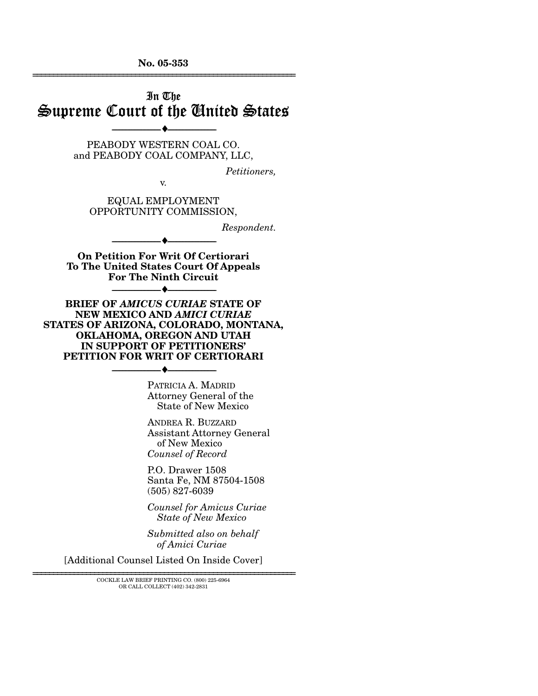**No. 05-353**  ================================================================

# In The Supreme Court of the United States

PEABODY WESTERN COAL CO. and PEABODY COAL COMPANY, LLC,

--------------------------------- ♦ ---------------------------------

*Petitioners,* 

EQUAL EMPLOYMENT OPPORTUNITY COMMISSION,

v.

*Respondent.* 

**On Petition For Writ Of Certiorari To The United States Court Of Appeals For The Ninth Circuit** 

--------------------------------- ♦ ---------------------------------

--------------------------------- ♦ ---------------------------------

**BRIEF OF** *AMICUS CURIAE* **STATE OF NEW MEXICO AND** *AMICI CURIAE*  **STATES OF ARIZONA, COLORADO, MONTANA, OKLAHOMA, OREGON AND UTAH IN SUPPORT OF PETITIONERS' PETITION FOR WRIT OF CERTIORARI** 

--------------------------------- ♦ ---------------------------------

PATRICIA A. MADRID Attorney General of the State of New Mexico

ANDREA R. BUZZARD Assistant Attorney General of New Mexico *Counsel of Record*

P.O. Drawer 1508 Santa Fe, NM 87504-1508 (505) 827-6039

*Counsel for Amicus Curiae State of New Mexico* 

*Submitted also on behalf of Amici Curiae* 

[Additional Counsel Listed On Inside Cover]

================================================================ COCKLE LAW BRIEF PRINTING CO. (800) 225-6964 OR CALL COLLECT (402) 342-2831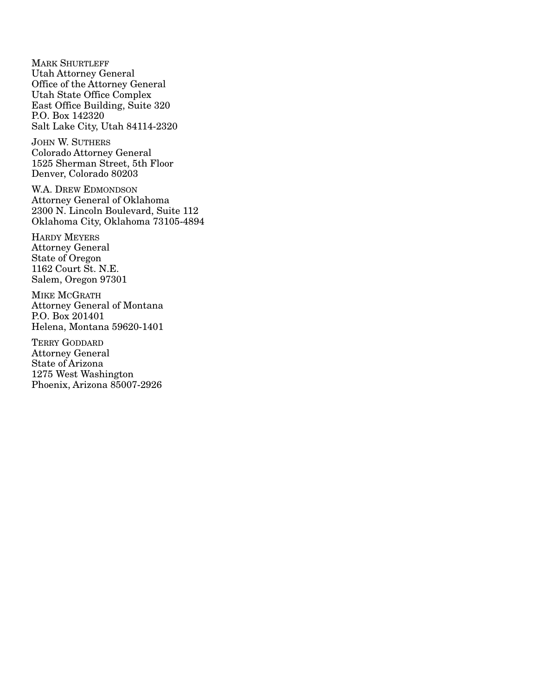MARK SHURTLEFF Utah Attorney General Office of the Attorney General Utah State Office Complex East Office Building, Suite 320 P.O. Box 142320 Salt Lake City, Utah 84114-2320

JOHN W. SUTHERS Colorado Attorney General 1525 Sherman Street, 5th Floor Denver, Colorado 80203

W.A. DREW EDMONDSON Attorney General of Oklahoma 2300 N. Lincoln Boulevard, Suite 112 Oklahoma City, Oklahoma 73105-4894

HARDY MEYERS Attorney General State of Oregon 1162 Court St. N.E. Salem, Oregon 97301

MIKE MCGRATH Attorney General of Montana P.O. Box 201401 Helena, Montana 59620-1401

TERRY GODDARD Attorney General State of Arizona 1275 West Washington Phoenix, Arizona 85007-2926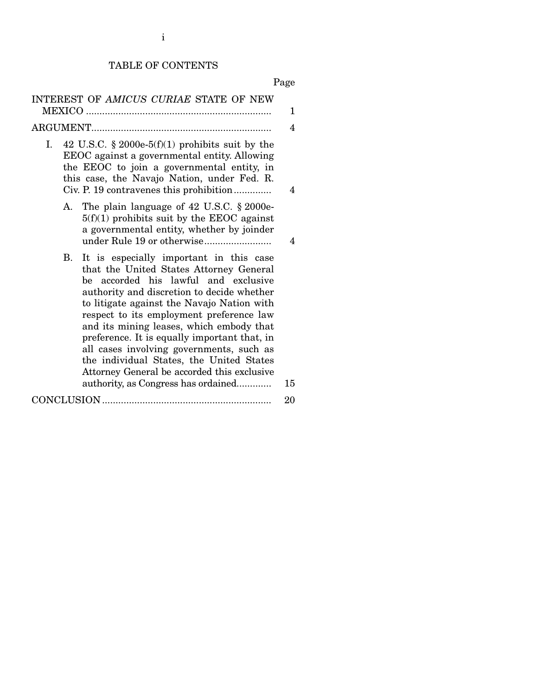## TABLE OF CONTENTS

Page

| INTEREST OF AMICUS CURIAE STATE OF NEW                                                                                                                                                                                                                                                                                                                                                                                                                                                                                                             | 1  |
|----------------------------------------------------------------------------------------------------------------------------------------------------------------------------------------------------------------------------------------------------------------------------------------------------------------------------------------------------------------------------------------------------------------------------------------------------------------------------------------------------------------------------------------------------|----|
|                                                                                                                                                                                                                                                                                                                                                                                                                                                                                                                                                    | 4  |
| 42 U.S.C. § 2000e-5(f)(1) prohibits suit by the<br>I.<br>EEOC against a governmental entity. Allowing<br>the EEOC to join a governmental entity, in<br>this case, the Navajo Nation, under Fed. R.                                                                                                                                                                                                                                                                                                                                                 | 4  |
| The plain language of 42 U.S.C. $\S 2000$ e-<br>А.<br>$5(f)(1)$ prohibits suit by the EEOC against<br>a governmental entity, whether by joinder                                                                                                                                                                                                                                                                                                                                                                                                    | 4  |
| It is especially important in this case<br>В.<br>that the United States Attorney General<br>be accorded his lawful and exclusive<br>authority and discretion to decide whether<br>to litigate against the Navajo Nation with<br>respect to its employment preference law<br>and its mining leases, which embody that<br>preference. It is equally important that, in<br>all cases involving governments, such as<br>the individual States, the United States<br>Attorney General be accorded this exclusive<br>authority, as Congress has ordained | 15 |
|                                                                                                                                                                                                                                                                                                                                                                                                                                                                                                                                                    | 20 |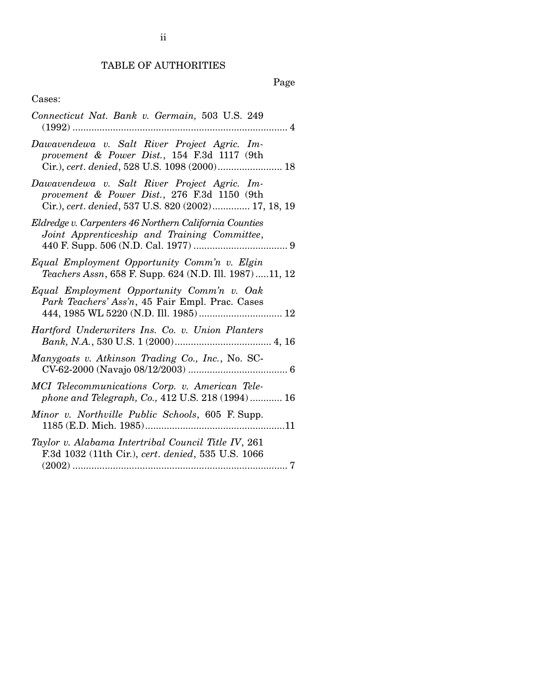# Page

| Connecticut Nat. Bank v. Germain, 503 U.S. 249                                                                                                     |
|----------------------------------------------------------------------------------------------------------------------------------------------------|
| Dawavendewa v. Salt River Project Agric. Im-<br>provement & Power Dist., 154 F.3d 1117 (9th<br>Cir.), cert. denied, 528 U.S. 1098 (2000) 18        |
| Dawavendewa v. Salt River Project Agric. Im-<br>provement & Power Dist., 276 F.3d 1150 (9th<br>Cir.), cert. denied, 537 U.S. 820 (2002) 17, 18, 19 |
| Eldredge v. Carpenters 46 Northern California Counties<br>Joint Apprenticeship and Training Committee,                                             |
| Equal Employment Opportunity Comm'n v. Elgin<br>Teachers Assn, 658 F. Supp. 624 (N.D. Ill. 1987)11, 12                                             |
| Equal Employment Opportunity Comm'n v. Oak<br>Park Teachers' Ass'n, 45 Fair Empl. Prac. Cases                                                      |
| Hartford Underwriters Ins. Co. v. Union Planters                                                                                                   |
| Manygoats v. Atkinson Trading Co., Inc., No. SC-                                                                                                   |
| MCI Telecommunications Corp. v. American Tele-<br>phone and Telegraph, Co., 412 U.S. 218 (1994)  16                                                |
| Minor v. Northville Public Schools, 605 F. Supp.                                                                                                   |
| Taylor v. Alabama Intertribal Council Title IV, 261<br>F.3d 1032 (11th Cir.), cert. denied, 535 U.S. 1066                                          |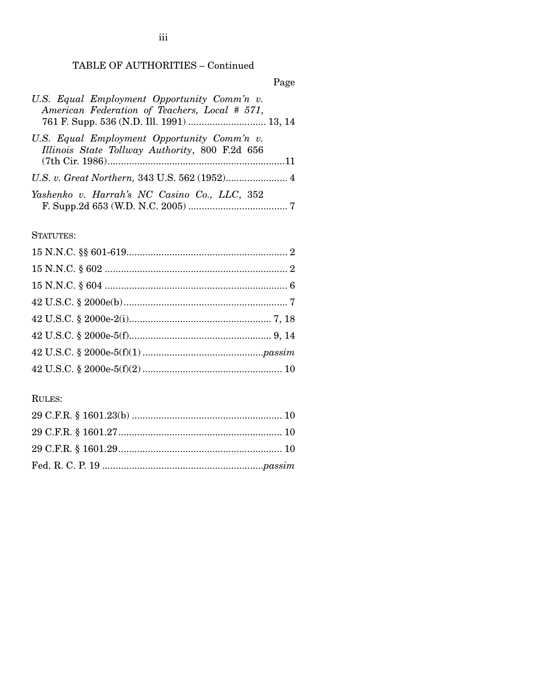## TABLE OF AUTHORITIES – Continued

| Page                                                                                          |
|-----------------------------------------------------------------------------------------------|
| U.S. Equal Employment Opportunity Comm'n v.<br>American Federation of Teachers, Local # 571,  |
| U.S. Equal Employment Opportunity Comm'n v.<br>Illinois State Tollway Authority, 800 F.2d 656 |
|                                                                                               |
| Yashenko v. Harrah's NC Casino Co., LLC, 352                                                  |

## STATUTES:

## RULES: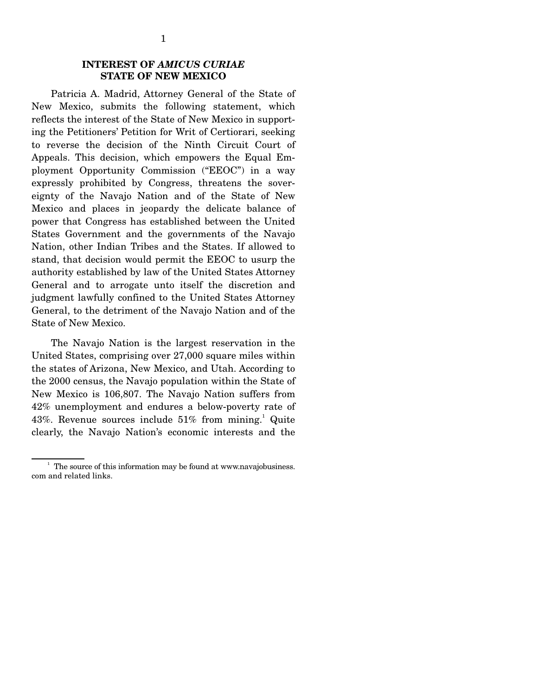## **INTEREST OF** *AMICUS CURIAE* **STATE OF NEW MEXICO**

 Patricia A. Madrid, Attorney General of the State of New Mexico, submits the following statement, which reflects the interest of the State of New Mexico in supporting the Petitioners' Petition for Writ of Certiorari, seeking to reverse the decision of the Ninth Circuit Court of Appeals. This decision, which empowers the Equal Employment Opportunity Commission ("EEOC") in a way expressly prohibited by Congress, threatens the sovereignty of the Navajo Nation and of the State of New Mexico and places in jeopardy the delicate balance of power that Congress has established between the United States Government and the governments of the Navajo Nation, other Indian Tribes and the States. If allowed to stand, that decision would permit the EEOC to usurp the authority established by law of the United States Attorney General and to arrogate unto itself the discretion and judgment lawfully confined to the United States Attorney General, to the detriment of the Navajo Nation and of the State of New Mexico.

 The Navajo Nation is the largest reservation in the United States, comprising over 27,000 square miles within the states of Arizona, New Mexico, and Utah. According to the 2000 census, the Navajo population within the State of New Mexico is 106,807. The Navajo Nation suffers from 42% unemployment and endures a below-poverty rate of 43%. Revenue sources include  $51\%$  from mining.<sup>1</sup> Quite clearly, the Navajo Nation's economic interests and the

<sup>&</sup>lt;sup>1</sup> The source of this information may be found at www.navajobusiness. com and related links.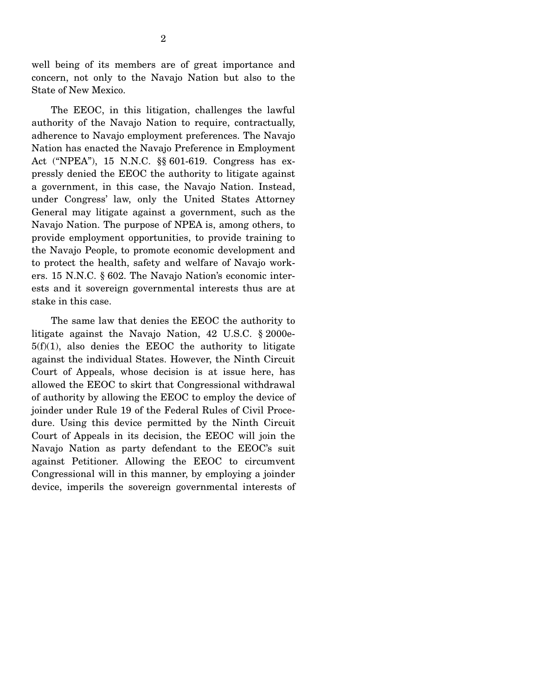well being of its members are of great importance and concern, not only to the Navajo Nation but also to the State of New Mexico.

 The EEOC, in this litigation, challenges the lawful authority of the Navajo Nation to require, contractually, adherence to Navajo employment preferences. The Navajo Nation has enacted the Navajo Preference in Employment Act ("NPEA"), 15 N.N.C. §§ 601-619. Congress has expressly denied the EEOC the authority to litigate against a government, in this case, the Navajo Nation. Instead, under Congress' law, only the United States Attorney General may litigate against a government, such as the Navajo Nation. The purpose of NPEA is, among others, to provide employment opportunities, to provide training to the Navajo People, to promote economic development and to protect the health, safety and welfare of Navajo workers. 15 N.N.C. § 602. The Navajo Nation's economic interests and it sovereign governmental interests thus are at stake in this case.

 The same law that denies the EEOC the authority to litigate against the Navajo Nation, 42 U.S.C. § 2000e- $5(f)(1)$ , also denies the EEOC the authority to litigate against the individual States. However, the Ninth Circuit Court of Appeals, whose decision is at issue here, has allowed the EEOC to skirt that Congressional withdrawal of authority by allowing the EEOC to employ the device of joinder under Rule 19 of the Federal Rules of Civil Procedure. Using this device permitted by the Ninth Circuit Court of Appeals in its decision, the EEOC will join the Navajo Nation as party defendant to the EEOC's suit against Petitioner. Allowing the EEOC to circumvent Congressional will in this manner, by employing a joinder device, imperils the sovereign governmental interests of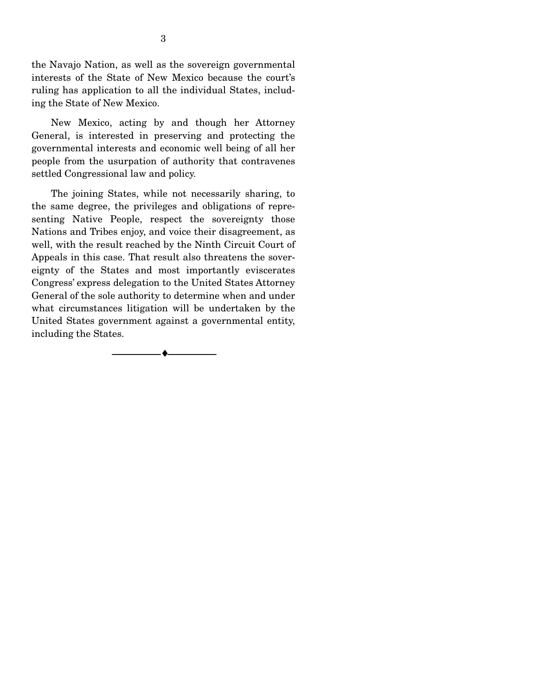the Navajo Nation, as well as the sovereign governmental interests of the State of New Mexico because the court's ruling has application to all the individual States, including the State of New Mexico.

 New Mexico, acting by and though her Attorney General, is interested in preserving and protecting the governmental interests and economic well being of all her people from the usurpation of authority that contravenes settled Congressional law and policy.

 The joining States, while not necessarily sharing, to the same degree, the privileges and obligations of representing Native People, respect the sovereignty those Nations and Tribes enjoy, and voice their disagreement, as well, with the result reached by the Ninth Circuit Court of Appeals in this case. That result also threatens the sovereignty of the States and most importantly eviscerates Congress' express delegation to the United States Attorney General of the sole authority to determine when and under what circumstances litigation will be undertaken by the United States government against a governmental entity, including the States.

--------------------------------- ♦ ---------------------------------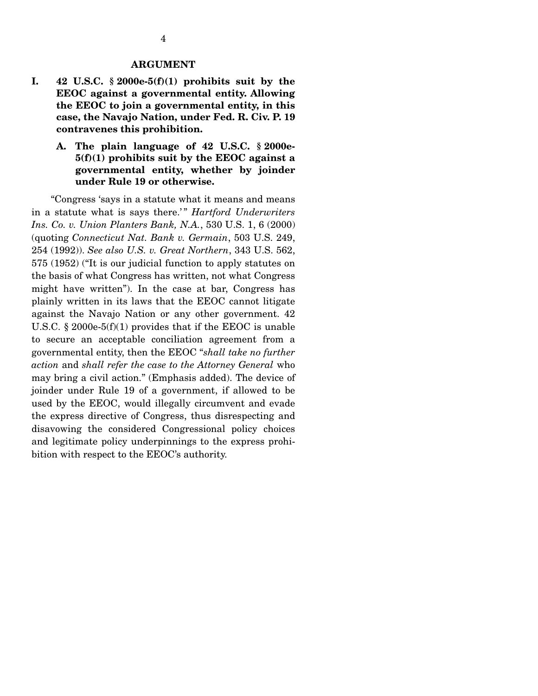#### **ARGUMENT**

- **I. 42 U.S.C. § 2000e-5(f)(1) prohibits suit by the EEOC against a governmental entity. Allowing the EEOC to join a governmental entity, in this case, the Navajo Nation, under Fed. R. Civ. P. 19 contravenes this prohibition.** 
	- **A. The plain language of 42 U.S.C. § 2000e-5(f)(1) prohibits suit by the EEOC against a governmental entity, whether by joinder under Rule 19 or otherwise.**

 "Congress 'says in a statute what it means and means in a statute what is says there.'" *Hartford Underwriters Ins. Co. v. Union Planters Bank, N.A.*, 530 U.S. 1, 6 (2000) (quoting *Connecticut Nat. Bank v. Germain*, 503 U.S. 249, 254 (1992)). *See also U.S. v. Great Northern*, 343 U.S. 562, 575 (1952) ("It is our judicial function to apply statutes on the basis of what Congress has written, not what Congress might have written"). In the case at bar, Congress has plainly written in its laws that the EEOC cannot litigate against the Navajo Nation or any other government. 42 U.S.C.  $\S 2000e-5(f)(1)$  provides that if the EEOC is unable to secure an acceptable conciliation agreement from a governmental entity, then the EEOC "*shall take no further action* and *shall refer the case to the Attorney General* who may bring a civil action." (Emphasis added). The device of joinder under Rule 19 of a government, if allowed to be used by the EEOC, would illegally circumvent and evade the express directive of Congress, thus disrespecting and disavowing the considered Congressional policy choices and legitimate policy underpinnings to the express prohibition with respect to the EEOC's authority.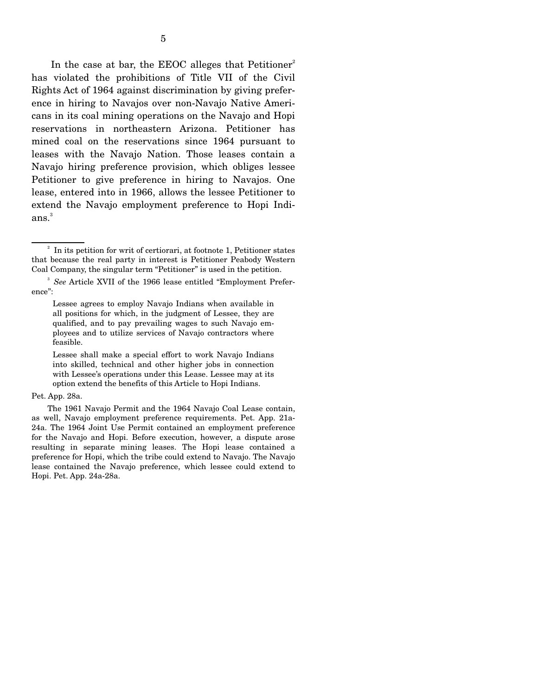In the case at bar, the EEOC alleges that Petitioner<sup>2</sup> has violated the prohibitions of Title VII of the Civil Rights Act of 1964 against discrimination by giving preference in hiring to Navajos over non-Navajo Native Americans in its coal mining operations on the Navajo and Hopi reservations in northeastern Arizona. Petitioner has mined coal on the reservations since 1964 pursuant to leases with the Navajo Nation. Those leases contain a Navajo hiring preference provision, which obliges lessee Petitioner to give preference in hiring to Navajos. One lease, entered into in 1966, allows the lessee Petitioner to extend the Navajo employment preference to Hopi Indians.<sup>3</sup>

#### Pet. App. 28a.

 The 1961 Navajo Permit and the 1964 Navajo Coal Lease contain, as well, Navajo employment preference requirements. Pet. App. 21a-24a. The 1964 Joint Use Permit contained an employment preference for the Navajo and Hopi. Before execution, however, a dispute arose resulting in separate mining leases. The Hopi lease contained a preference for Hopi, which the tribe could extend to Navajo. The Navajo lease contained the Navajo preference, which lessee could extend to Hopi. Pet. App. 24a-28a.

<sup>&</sup>lt;sup>2</sup> In its petition for writ of certiorari, at footnote 1, Petitioner states that because the real party in interest is Petitioner Peabody Western Coal Company, the singular term "Petitioner" is used in the petition.

<sup>&</sup>lt;sup>3</sup> See Article XVII of the 1966 lease entitled "Employment Preference":

Lessee agrees to employ Navajo Indians when available in all positions for which, in the judgment of Lessee, they are qualified, and to pay prevailing wages to such Navajo employees and to utilize services of Navajo contractors where feasible.

Lessee shall make a special effort to work Navajo Indians into skilled, technical and other higher jobs in connection with Lessee's operations under this Lease. Lessee may at its option extend the benefits of this Article to Hopi Indians.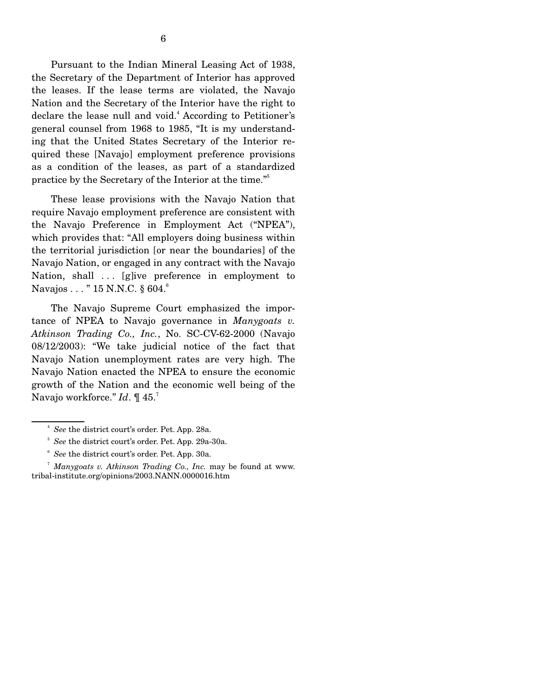Pursuant to the Indian Mineral Leasing Act of 1938, the Secretary of the Department of Interior has approved the leases. If the lease terms are violated, the Navajo Nation and the Secretary of the Interior have the right to declare the lease null and void.<sup>4</sup> According to Petitioner's general counsel from 1968 to 1985, "It is my understanding that the United States Secretary of the Interior required these [Navajo] employment preference provisions as a condition of the leases, as part of a standardized practice by the Secretary of the Interior at the time."5

 These lease provisions with the Navajo Nation that require Navajo employment preference are consistent with the Navajo Preference in Employment Act ("NPEA"), which provides that: "All employers doing business within the territorial jurisdiction [or near the boundaries] of the Navajo Nation, or engaged in any contract with the Navajo Nation, shall ... [g]ive preference in employment to Navajos . . . " 15 N.N.C. § 604.<sup>6</sup>

 The Navajo Supreme Court emphasized the importance of NPEA to Navajo governance in *Manygoats v. Atkinson Trading Co., Inc.*, No. SC-CV-62-2000 (Navajo 08/12/2003): "We take judicial notice of the fact that Navajo Nation unemployment rates are very high. The Navajo Nation enacted the NPEA to ensure the economic growth of the Nation and the economic well being of the Navajo workforce." *Id.* || 45.<sup>7</sup>

<sup>4</sup> *See* the district court's order. Pet. App. 28a.

<sup>5</sup> *See* the district court's order. Pet. App. 29a-30a.

<sup>6</sup> *See* the district court's order. Pet. App. 30a.

<sup>7</sup> *Manygoats v. Atkinson Trading Co., Inc.* may be found at www. tribal-institute.org/opinions/2003.NANN.0000016.htm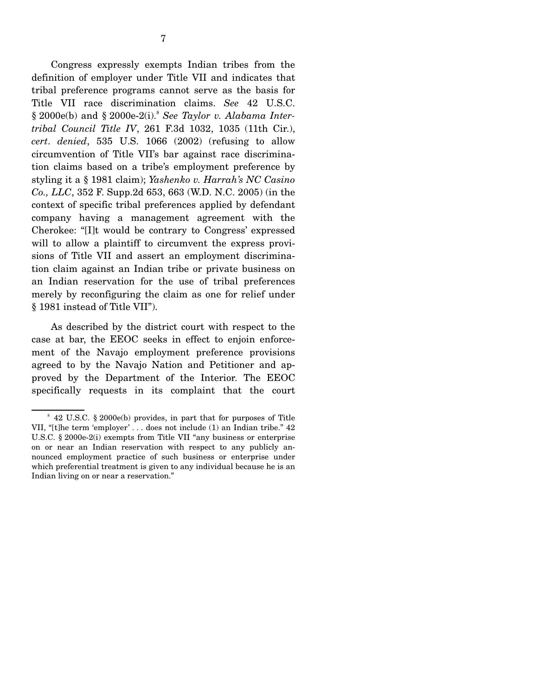Congress expressly exempts Indian tribes from the definition of employer under Title VII and indicates that tribal preference programs cannot serve as the basis for Title VII race discrimination claims. *See* 42 U.S.C. § 2000e(b) and § 2000e-2(i).8 *See Taylor v. Alabama Intertribal Council Title IV*, 261 F.3d 1032, 1035 (11th Cir.), *cert*. *denied*, 535 U.S. 1066 (2002) (refusing to allow circumvention of Title VII's bar against race discrimination claims based on a tribe's employment preference by styling it a § 1981 claim); *Yashenko v. Harrah's NC Casino Co., LLC*, 352 F. Supp.2d 653, 663 (W.D. N.C. 2005) (in the context of specific tribal preferences applied by defendant company having a management agreement with the Cherokee: "[I]t would be contrary to Congress' expressed will to allow a plaintiff to circumvent the express provisions of Title VII and assert an employment discrimination claim against an Indian tribe or private business on an Indian reservation for the use of tribal preferences merely by reconfiguring the claim as one for relief under § 1981 instead of Title VII").

 As described by the district court with respect to the case at bar, the EEOC seeks in effect to enjoin enforcement of the Navajo employment preference provisions agreed to by the Navajo Nation and Petitioner and approved by the Department of the Interior. The EEOC specifically requests in its complaint that the court

<sup>8</sup> 42 U.S.C. § 2000e(b) provides, in part that for purposes of Title VII, "[t]he term 'employer' . . . does not include (1) an Indian tribe." 42 U.S.C. § 2000e-2(i) exempts from Title VII "any business or enterprise on or near an Indian reservation with respect to any publicly announced employment practice of such business or enterprise under which preferential treatment is given to any individual because he is an Indian living on or near a reservation."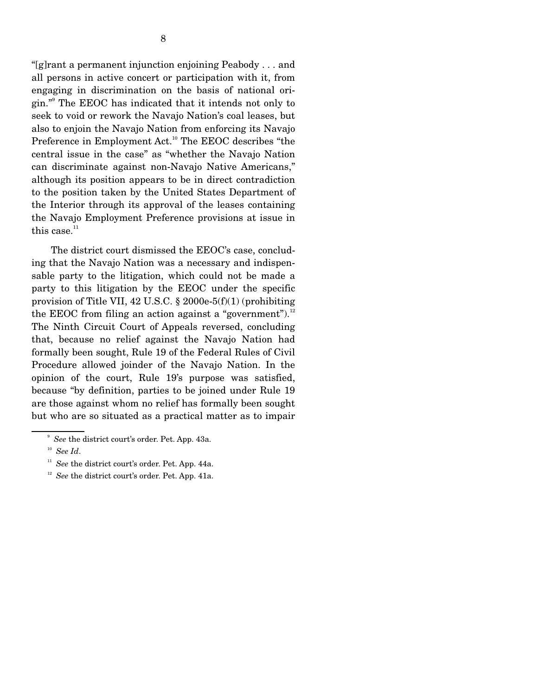"[g]rant a permanent injunction enjoining Peabody . . . and all persons in active concert or participation with it, from engaging in discrimination on the basis of national origin."9 The EEOC has indicated that it intends not only to seek to void or rework the Navajo Nation's coal leases, but also to enjoin the Navajo Nation from enforcing its Navajo Preference in Employment Act.<sup>10</sup> The EEOC describes "the central issue in the case" as "whether the Navajo Nation can discriminate against non-Navajo Native Americans," although its position appears to be in direct contradiction to the position taken by the United States Department of the Interior through its approval of the leases containing the Navajo Employment Preference provisions at issue in  $\text{this case.}^{\text{11}}$ 

 The district court dismissed the EEOC's case, concluding that the Navajo Nation was a necessary and indispensable party to the litigation, which could not be made a party to this litigation by the EEOC under the specific provision of Title VII, 42 U.S.C. § 2000e-5(f)(1) (prohibiting the EEOC from filing an action against a "government").<sup>12</sup> The Ninth Circuit Court of Appeals reversed, concluding that, because no relief against the Navajo Nation had formally been sought, Rule 19 of the Federal Rules of Civil Procedure allowed joinder of the Navajo Nation. In the opinion of the court, Rule 19's purpose was satisfied, because "by definition, parties to be joined under Rule 19 are those against whom no relief has formally been sought but who are so situated as a practical matter as to impair

<sup>9</sup> *See* the district court's order. Pet. App. 43a.

<sup>10</sup> *See Id*.

<sup>&</sup>lt;sup>11</sup> *See* the district court's order. Pet. App. 44a.

<sup>&</sup>lt;sup>12</sup> *See* the district court's order. Pet. App. 41a.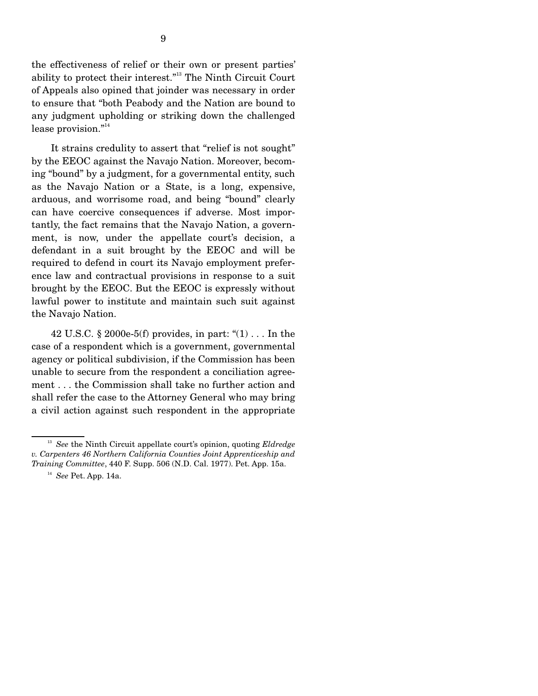the effectiveness of relief or their own or present parties' ability to protect their interest."13 The Ninth Circuit Court of Appeals also opined that joinder was necessary in order to ensure that "both Peabody and the Nation are bound to any judgment upholding or striking down the challenged lease provision."<sup>14</sup>

 It strains credulity to assert that "relief is not sought" by the EEOC against the Navajo Nation. Moreover, becoming "bound" by a judgment, for a governmental entity, such as the Navajo Nation or a State, is a long, expensive, arduous, and worrisome road, and being "bound" clearly can have coercive consequences if adverse. Most importantly, the fact remains that the Navajo Nation, a government, is now, under the appellate court's decision, a defendant in a suit brought by the EEOC and will be required to defend in court its Navajo employment preference law and contractual provisions in response to a suit brought by the EEOC. But the EEOC is expressly without lawful power to institute and maintain such suit against the Navajo Nation.

 42 U.S.C. § 2000e-5(f) provides, in part: "(1) . . . In the case of a respondent which is a government, governmental agency or political subdivision, if the Commission has been unable to secure from the respondent a conciliation agreement . . . the Commission shall take no further action and shall refer the case to the Attorney General who may bring a civil action against such respondent in the appropriate

<sup>13</sup> *See* the Ninth Circuit appellate court's opinion, quoting *Eldredge v. Carpenters 46 Northern California Counties Joint Apprenticeship and Training Committee*, 440 F. Supp. 506 (N.D. Cal. 1977). Pet. App. 15a.

<sup>14</sup> *See* Pet. App. 14a.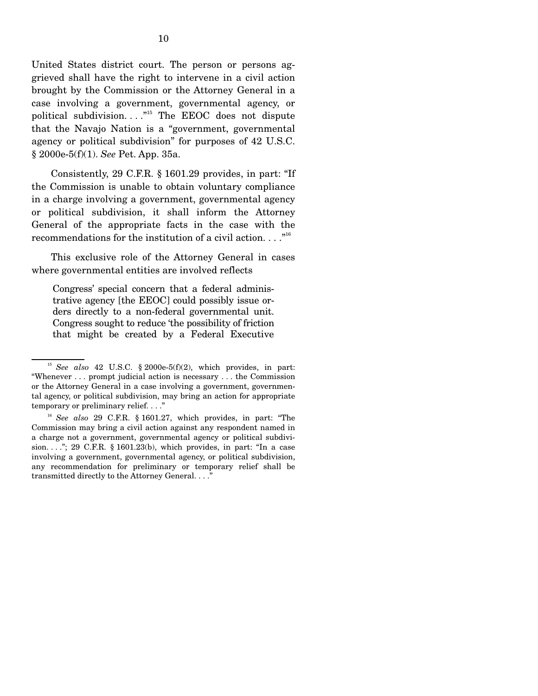United States district court. The person or persons aggrieved shall have the right to intervene in a civil action brought by the Commission or the Attorney General in a case involving a government, governmental agency, or political subdivision...."<sup>15</sup> The EEOC does not dispute that the Navajo Nation is a "government, governmental agency or political subdivision" for purposes of 42 U.S.C. § 2000e-5(f)(1). *See* Pet. App. 35a.

 Consistently, 29 C.F.R. § 1601.29 provides, in part: "If the Commission is unable to obtain voluntary compliance in a charge involving a government, governmental agency or political subdivision, it shall inform the Attorney General of the appropriate facts in the case with the recommendations for the institution of a civil action.  $\dots^{16}$ 

 This exclusive role of the Attorney General in cases where governmental entities are involved reflects

Congress' special concern that a federal administrative agency [the EEOC] could possibly issue orders directly to a non-federal governmental unit. Congress sought to reduce 'the possibility of friction that might be created by a Federal Executive

<sup>15</sup> *See also* 42 U.S.C. § 2000e-5(f)(2), which provides, in part: "Whenever . . . prompt judicial action is necessary . . . the Commission or the Attorney General in a case involving a government, governmental agency, or political subdivision, may bring an action for appropriate temporary or preliminary relief. . . ."

<sup>16</sup> *See also* 29 C.F.R. § 1601.27, which provides, in part: "The Commission may bring a civil action against any respondent named in a charge not a government, governmental agency or political subdivision. . . ."; 29 C.F.R. § 1601.23(b), which provides, in part: "In a case involving a government, governmental agency, or political subdivision, any recommendation for preliminary or temporary relief shall be transmitted directly to the Attorney General. . . ."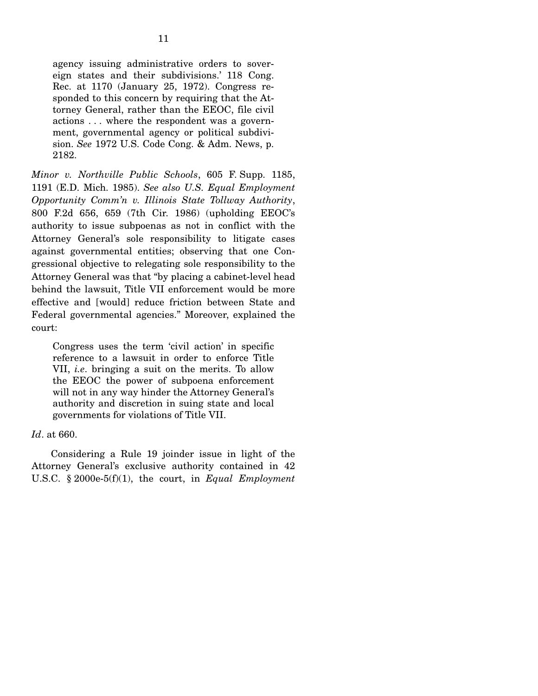agency issuing administrative orders to sovereign states and their subdivisions.' 118 Cong. Rec. at 1170 (January 25, 1972). Congress responded to this concern by requiring that the Attorney General, rather than the EEOC, file civil actions . . . where the respondent was a government, governmental agency or political subdivision. *See* 1972 U.S. Code Cong. & Adm. News, p. 2182.

*Minor v. Northville Public Schools*, 605 F. Supp. 1185, 1191 (E.D. Mich. 1985). *See also U.S. Equal Employment Opportunity Comm'n v. Illinois State Tollway Authority*, 800 F.2d 656, 659 (7th Cir. 1986) (upholding EEOC's authority to issue subpoenas as not in conflict with the Attorney General's sole responsibility to litigate cases against governmental entities; observing that one Congressional objective to relegating sole responsibility to the Attorney General was that "by placing a cabinet-level head behind the lawsuit, Title VII enforcement would be more effective and [would] reduce friction between State and Federal governmental agencies." Moreover, explained the court:

Congress uses the term 'civil action' in specific reference to a lawsuit in order to enforce Title VII, *i.e*. bringing a suit on the merits. To allow the EEOC the power of subpoena enforcement will not in any way hinder the Attorney General's authority and discretion in suing state and local governments for violations of Title VII.

### *Id*. at 660.

 Considering a Rule 19 joinder issue in light of the Attorney General's exclusive authority contained in 42 U.S.C. § 2000e-5(f)(1), the court, in *Equal Employment*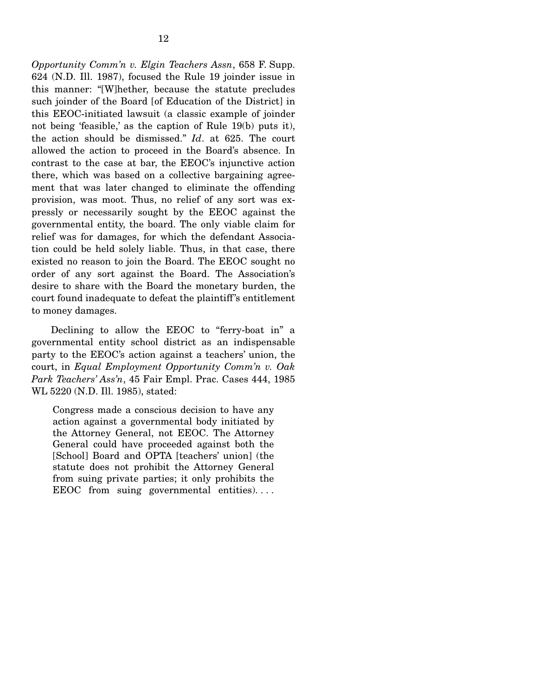*Opportunity Comm'n v. Elgin Teachers Assn*, 658 F. Supp. 624 (N.D. Ill. 1987), focused the Rule 19 joinder issue in this manner: "[W]hether, because the statute precludes such joinder of the Board [of Education of the District] in this EEOC-initiated lawsuit (a classic example of joinder not being 'feasible,' as the caption of Rule 19(b) puts it), the action should be dismissed." *Id*. at 625. The court allowed the action to proceed in the Board's absence. In contrast to the case at bar, the EEOC's injunctive action there, which was based on a collective bargaining agreement that was later changed to eliminate the offending provision, was moot. Thus, no relief of any sort was expressly or necessarily sought by the EEOC against the governmental entity, the board. The only viable claim for relief was for damages, for which the defendant Association could be held solely liable. Thus, in that case, there existed no reason to join the Board. The EEOC sought no order of any sort against the Board. The Association's desire to share with the Board the monetary burden, the court found inadequate to defeat the plaintiff's entitlement to money damages.

 Declining to allow the EEOC to "ferry-boat in" a governmental entity school district as an indispensable party to the EEOC's action against a teachers' union, the court, in *Equal Employment Opportunity Comm'n v. Oak Park Teachers' Ass'n*, 45 Fair Empl. Prac. Cases 444, 1985 WL 5220 (N.D. Ill. 1985), stated:

Congress made a conscious decision to have any action against a governmental body initiated by the Attorney General, not EEOC. The Attorney General could have proceeded against both the [School] Board and OPTA [teachers' union] (the statute does not prohibit the Attorney General from suing private parties; it only prohibits the EEOC from suing governmental entities)...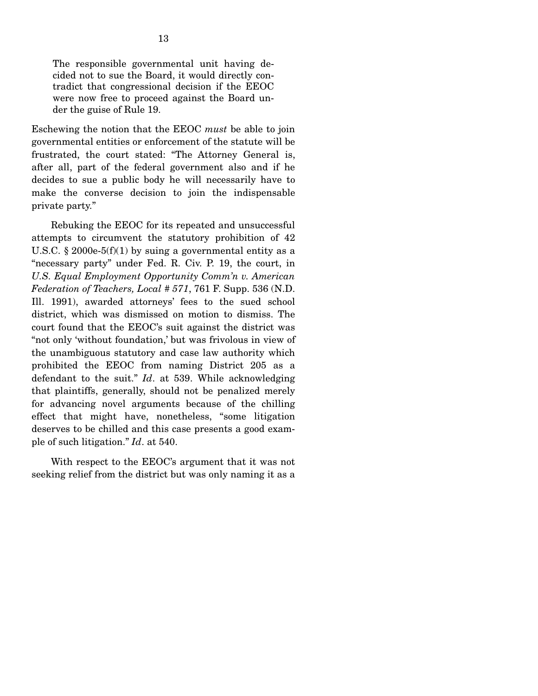The responsible governmental unit having decided not to sue the Board, it would directly contradict that congressional decision if the EEOC were now free to proceed against the Board under the guise of Rule 19.

Eschewing the notion that the EEOC *must* be able to join governmental entities or enforcement of the statute will be frustrated, the court stated: "The Attorney General is, after all, part of the federal government also and if he decides to sue a public body he will necessarily have to make the converse decision to join the indispensable private party."

 Rebuking the EEOC for its repeated and unsuccessful attempts to circumvent the statutory prohibition of 42 U.S.C. § 2000e-5(f)(1) by suing a governmental entity as a "necessary party" under Fed. R. Civ. P. 19, the court, in *U.S. Equal Employment Opportunity Comm'n v. American Federation of Teachers, Local # 571*, 761 F. Supp. 536 (N.D. Ill. 1991), awarded attorneys' fees to the sued school district, which was dismissed on motion to dismiss. The court found that the EEOC's suit against the district was "not only 'without foundation,' but was frivolous in view of the unambiguous statutory and case law authority which prohibited the EEOC from naming District 205 as a defendant to the suit." *Id*. at 539. While acknowledging that plaintiffs, generally, should not be penalized merely for advancing novel arguments because of the chilling effect that might have, nonetheless, "some litigation deserves to be chilled and this case presents a good example of such litigation." *Id*. at 540.

 With respect to the EEOC's argument that it was not seeking relief from the district but was only naming it as a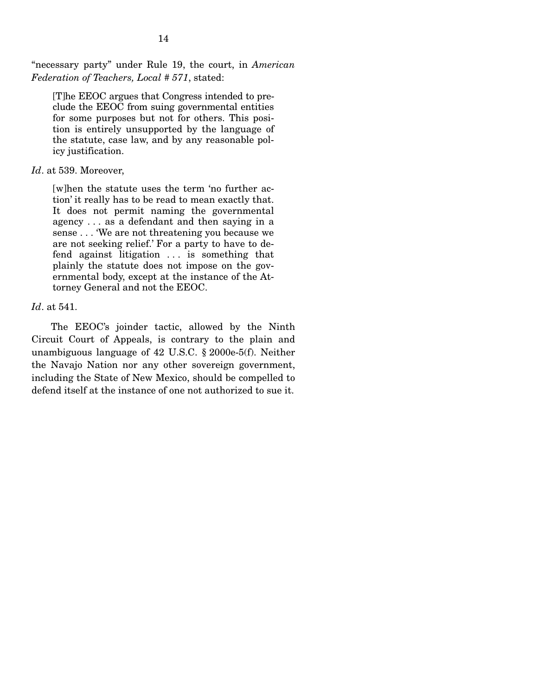"necessary party" under Rule 19, the court, in *American Federation of Teachers, Local # 571*, stated:

[T]he EEOC argues that Congress intended to preclude the EEOC from suing governmental entities for some purposes but not for others. This position is entirely unsupported by the language of the statute, case law, and by any reasonable policy justification.

### *Id*. at 539. Moreover,

[w]hen the statute uses the term 'no further action' it really has to be read to mean exactly that. It does not permit naming the governmental agency . . . as a defendant and then saying in a sense . . . 'We are not threatening you because we are not seeking relief.' For a party to have to defend against litigation . . . is something that plainly the statute does not impose on the governmental body, except at the instance of the Attorney General and not the EEOC.

### *Id*. at 541.

 The EEOC's joinder tactic, allowed by the Ninth Circuit Court of Appeals, is contrary to the plain and unambiguous language of 42 U.S.C. § 2000e-5(f). Neither the Navajo Nation nor any other sovereign government, including the State of New Mexico, should be compelled to defend itself at the instance of one not authorized to sue it.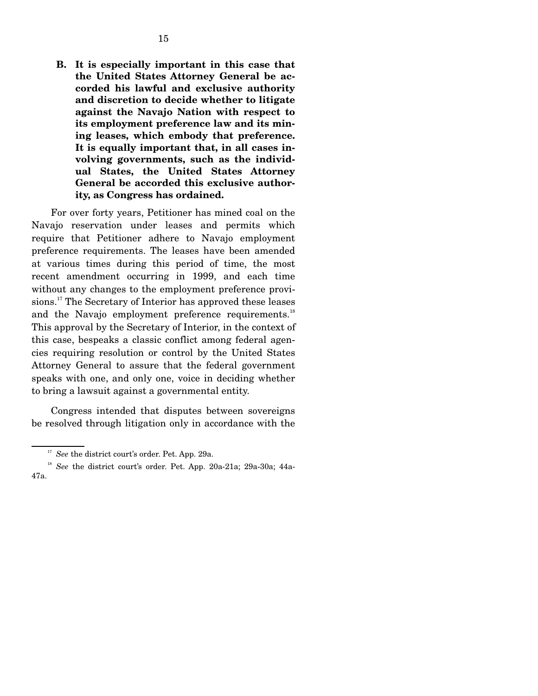**B. It is especially important in this case that the United States Attorney General be accorded his lawful and exclusive authority and discretion to decide whether to litigate against the Navajo Nation with respect to its employment preference law and its mining leases, which embody that preference. It is equally important that, in all cases involving governments, such as the individual States, the United States Attorney General be accorded this exclusive authority, as Congress has ordained.** 

 For over forty years, Petitioner has mined coal on the Navajo reservation under leases and permits which require that Petitioner adhere to Navajo employment preference requirements. The leases have been amended at various times during this period of time, the most recent amendment occurring in 1999, and each time without any changes to the employment preference provisions.<sup>17</sup> The Secretary of Interior has approved these leases and the Navajo employment preference requirements.<sup>18</sup> This approval by the Secretary of Interior, in the context of this case, bespeaks a classic conflict among federal agencies requiring resolution or control by the United States Attorney General to assure that the federal government speaks with one, and only one, voice in deciding whether to bring a lawsuit against a governmental entity.

 Congress intended that disputes between sovereigns be resolved through litigation only in accordance with the

<sup>&</sup>lt;sup>17</sup> *See* the district court's order. Pet. App. 29a.

<sup>&</sup>lt;sup>18</sup> *See* the district court's order. Pet. App. 20a-21a; 29a-30a; 44a-47a.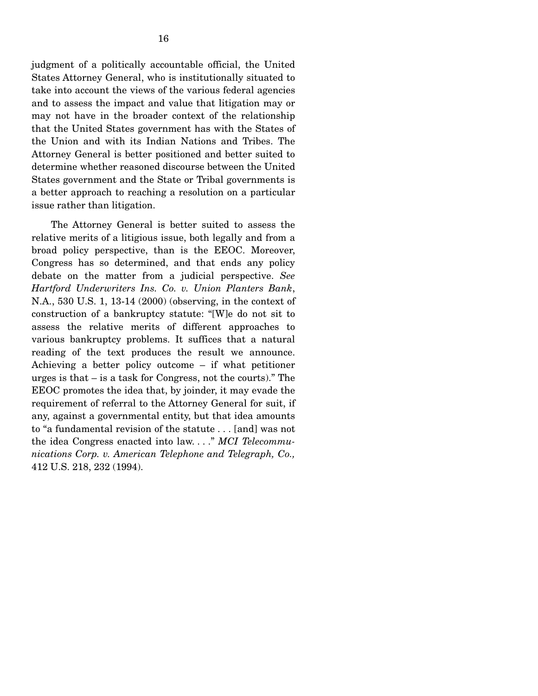judgment of a politically accountable official, the United States Attorney General, who is institutionally situated to take into account the views of the various federal agencies and to assess the impact and value that litigation may or may not have in the broader context of the relationship that the United States government has with the States of the Union and with its Indian Nations and Tribes. The Attorney General is better positioned and better suited to determine whether reasoned discourse between the United States government and the State or Tribal governments is a better approach to reaching a resolution on a particular issue rather than litigation.

 The Attorney General is better suited to assess the relative merits of a litigious issue, both legally and from a broad policy perspective, than is the EEOC. Moreover, Congress has so determined, and that ends any policy debate on the matter from a judicial perspective. *See Hartford Underwriters Ins. Co. v. Union Planters Bank*, N.A., 530 U.S. 1, 13-14 (2000) (observing, in the context of construction of a bankruptcy statute: "[W]e do not sit to assess the relative merits of different approaches to various bankruptcy problems. It suffices that a natural reading of the text produces the result we announce. Achieving a better policy outcome – if what petitioner urges is that – is a task for Congress, not the courts)." The EEOC promotes the idea that, by joinder, it may evade the requirement of referral to the Attorney General for suit, if any, against a governmental entity, but that idea amounts to "a fundamental revision of the statute . . . [and] was not the idea Congress enacted into law. . . ." *MCI Telecommunications Corp. v. American Telephone and Telegraph, Co.,* 412 U.S. 218, 232 (1994).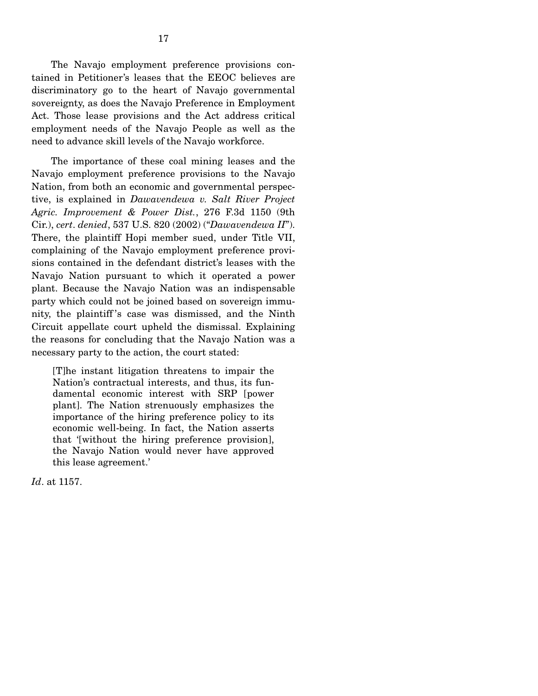The Navajo employment preference provisions contained in Petitioner's leases that the EEOC believes are discriminatory go to the heart of Navajo governmental sovereignty, as does the Navajo Preference in Employment Act. Those lease provisions and the Act address critical employment needs of the Navajo People as well as the need to advance skill levels of the Navajo workforce.

 The importance of these coal mining leases and the Navajo employment preference provisions to the Navajo Nation, from both an economic and governmental perspective, is explained in *Dawavendewa v. Salt River Project Agric. Improvement & Power Dist.*, 276 F.3d 1150 (9th Cir.), *cert*. *denied*, 537 U.S. 820 (2002) ("*Dawavendewa II*"). There, the plaintiff Hopi member sued, under Title VII, complaining of the Navajo employment preference provisions contained in the defendant district's leases with the Navajo Nation pursuant to which it operated a power plant. Because the Navajo Nation was an indispensable party which could not be joined based on sovereign immunity, the plaintiff 's case was dismissed, and the Ninth Circuit appellate court upheld the dismissal. Explaining the reasons for concluding that the Navajo Nation was a necessary party to the action, the court stated:

[T]he instant litigation threatens to impair the Nation's contractual interests, and thus, its fundamental economic interest with SRP [power plant]. The Nation strenuously emphasizes the importance of the hiring preference policy to its economic well-being. In fact, the Nation asserts that '[without the hiring preference provision], the Navajo Nation would never have approved this lease agreement.'

*Id*. at 1157.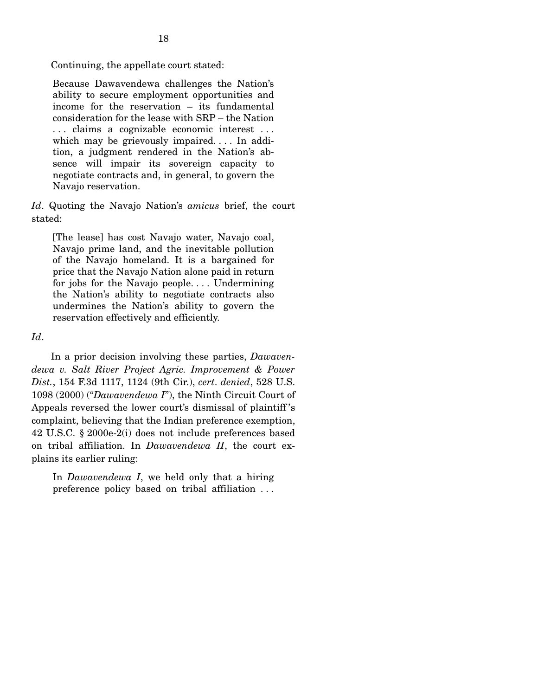Continuing, the appellate court stated:

Because Dawavendewa challenges the Nation's ability to secure employment opportunities and income for the reservation – its fundamental consideration for the lease with SRP – the Nation . . . claims a cognizable economic interest . . . which may be grievously impaired.... In addition, a judgment rendered in the Nation's absence will impair its sovereign capacity to negotiate contracts and, in general, to govern the Navajo reservation.

*Id*. Quoting the Navajo Nation's *amicus* brief, the court stated:

[The lease] has cost Navajo water, Navajo coal, Navajo prime land, and the inevitable pollution of the Navajo homeland. It is a bargained for price that the Navajo Nation alone paid in return for jobs for the Navajo people. . . . Undermining the Nation's ability to negotiate contracts also undermines the Nation's ability to govern the reservation effectively and efficiently.

*Id*.

 In a prior decision involving these parties, *Dawavendewa v. Salt River Project Agric. Improvement & Power Dist.*, 154 F.3d 1117, 1124 (9th Cir.), *cert*. *denied*, 528 U.S. 1098 (2000) ("*Dawavendewa I*"), the Ninth Circuit Court of Appeals reversed the lower court's dismissal of plaintiff 's complaint, believing that the Indian preference exemption, 42 U.S.C. § 2000e-2(i) does not include preferences based on tribal affiliation. In *Dawavendewa II*, the court explains its earlier ruling:

In *Dawavendewa I*, we held only that a hiring preference policy based on tribal affiliation . . .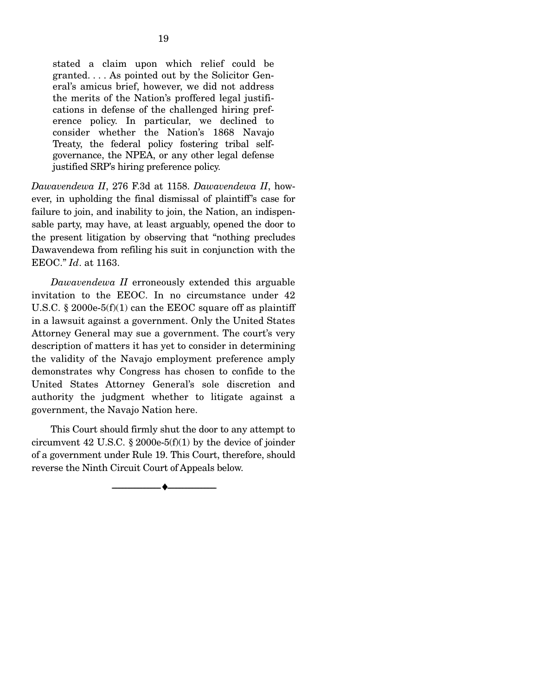stated a claim upon which relief could be granted. . . . As pointed out by the Solicitor General's amicus brief, however, we did not address the merits of the Nation's proffered legal justifications in defense of the challenged hiring preference policy. In particular, we declined to consider whether the Nation's 1868 Navajo Treaty, the federal policy fostering tribal selfgovernance, the NPEA, or any other legal defense justified SRP's hiring preference policy.

*Dawavendewa II*, 276 F.3d at 1158. *Dawavendewa II*, however, in upholding the final dismissal of plaintiff's case for failure to join, and inability to join, the Nation, an indispensable party, may have, at least arguably, opened the door to the present litigation by observing that "nothing precludes Dawavendewa from refiling his suit in conjunction with the EEOC." *Id*. at 1163.

 *Dawavendewa II* erroneously extended this arguable invitation to the EEOC. In no circumstance under 42 U.S.C. § 2000e-5(f)(1) can the EEOC square off as plaintiff in a lawsuit against a government. Only the United States Attorney General may sue a government. The court's very description of matters it has yet to consider in determining the validity of the Navajo employment preference amply demonstrates why Congress has chosen to confide to the United States Attorney General's sole discretion and authority the judgment whether to litigate against a government, the Navajo Nation here.

 This Court should firmly shut the door to any attempt to circumvent 42 U.S.C.  $\S 2000e-5(f)(1)$  by the device of joinder of a government under Rule 19. This Court, therefore, should reverse the Ninth Circuit Court of Appeals below.

--------------------------------- ♦ ---------------------------------